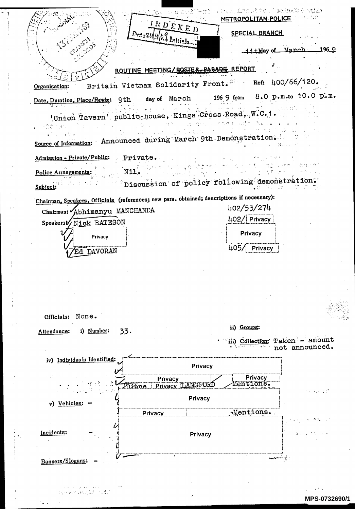NET Lacultic I <del>nebu</del>lish valak METROPOLITAN POLICE INDEXED **SPECIAL BRANCH**  $P$ cte2HH69 Initials 11 thay of March  $196.9$ ROUTINE MEETING/ROSTER-PARADE REPORT Britain Vietnam Solidarity Front. Ref: 400/66/120. Organisation: 8.0 p.m.to 10.0 plm. 196 9 from day of March Date, Duration, Place/Route: 9th  $\frac{1}{2} \mathbf{u} + \frac{1}{2} \mathbf{u} + \frac{1}{2} \mathbf{u} + \frac{1}{2} \mathbf{u}$ 'Union Tavern' public house, Kings-Cross-Road, W.C. 1. láid na h Source of Information: Announced during March 9th Demonstration. Admission - Private/Public: Private. Nil. **Police Arrangements:** Discussion of policy following demonstration. Subject: Chairman, Speakers, Officials (references; new pars. obtained; descriptions if necessary): 402/53/274 Chairman: Abhimanyu MANCHANDA 402/ Privacy Speakers/ Nick BATESON Privacy Privacy 405/ Privacy Ed DAVORAN Officials: None. ii) Groups: Attendance: i) Number: 33. iii) Collection: Taken - amount not announced. iv) Individuals Identified: Privacy Privacy **Privacy** Mentions. Privacy LANGFORD <u>Zużane.</u> Privacy v) Vehicles: Mentions. **Privacy** Incidents: Privacy Banners/Slogans:

In the exploration of the Content